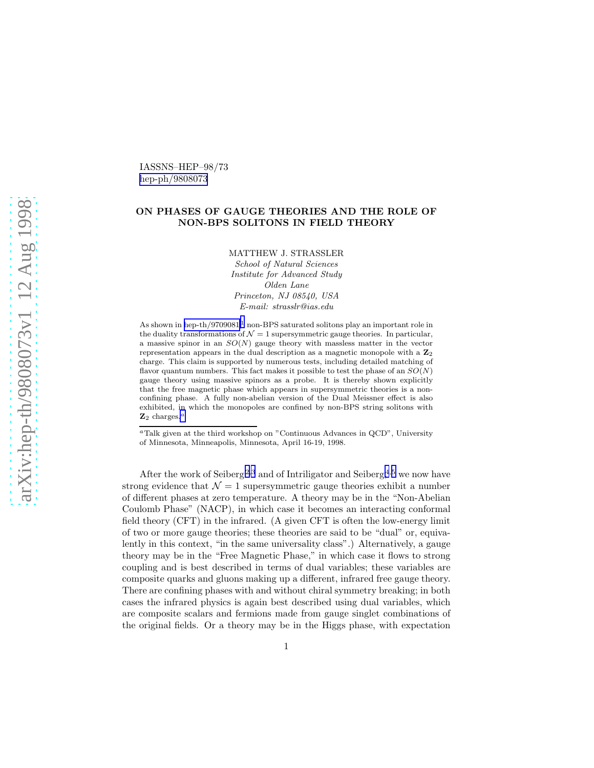IASSNS–HEP–98/73 [hep-ph/9808073](http://arxiv.org/abs/hep-ph/9808073)

## ON PHASES OF GAUGE THEORIES AND THE ROLE OF NON-BPS SOLITONS IN FIELD THEORY

MATTHEW J. STRASSLER

*School of Natural Sciences Institute for Advanced Study Olden Lane Princeton, NJ 08540, USA E-mail: strasslr@ias.edu*

As shown in [hep-th/9709081](http://arxiv.org/abs/hep-th/9709081),<sup>[1](#page-6-0)</sup> non-BPS saturated solitons play an important role in the duality transformations of  $\mathcal{N} = 1$  supersymmetric gauge theories. In particular, a massive spinor in an  $SO(N)$  gauge theory with massless matter in the vector representation appears in the dual description as a magnetic monopole with a  $\mathbb{Z}_2$ charge. This claim is supported by numerous tests, including detailed matching of flavor quantum numbers. This fact makes it possible to test the phase of an  $SO(N)$ gauge theory using massive spinors as a probe. It is thereby shown explicitly that the free magnetic phase which appears in supersymmetric theories is a nonconfining phase. A fully non-abelian version of the Dual Meissner effect is also exhibited, in which the monopoles are confined by non-BPS string solitons with  $\mathbf{Z}_2$  charges.<sup>*a*</sup>

After the work of Seiberg<sup>[2](#page-6-0),[3](#page-7-0)</sup> and of Intriligator and Seiberg,<sup>[4](#page-7-0),[5](#page-7-0)</sup> we now have strong evidence that  $\mathcal{N} = 1$  supersymmetric gauge theories exhibit a number of different phases at zero temperature. A theory may be in the "Non-Abelian Coulomb Phase" (NACP), in which case it becomes an interacting conformal field theory (CFT) in the infrared. (A given CFT is often the low-energy limit of two or more gauge theories; these theories are said to be "dual" or, equivalently in this context, "in the same universality class".) Alternatively, a gauge theory may be in the "Free Magnetic Phase," in which case it flows to strong coupling and is best described in terms of dual variables; these variables are composite quarks and gluons making up a different, infrared free gauge theory. There are confining phases with and without chiral symmetry breaking; in both cases the infrared physics is again best described using dual variables, which are composite scalars and fermions made from gauge singlet combinations of the original fields. Or a theory may be in the Higgs phase, with expectation

<sup>a</sup>Talk given at the third workshop on "Continuous Advances in QCD", University of Minnesota, Minneapolis, Minnesota, April 16-19, 1998.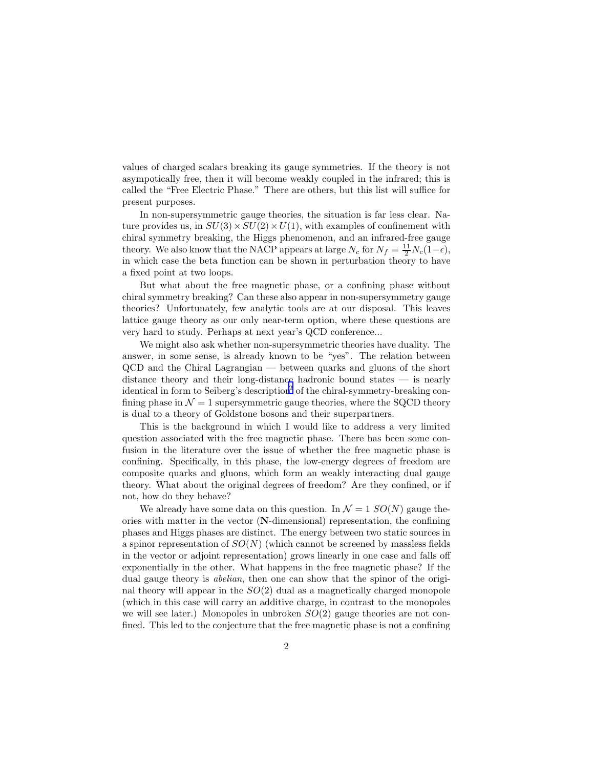values of charged scalars breaking its gauge symmetries. If the theory is not asympotically free, then it will become weakly coupled in the infrared; this is called the "Free Electric Phase." There are others, but this list will suffice for present purposes.

In non-supersymmetric gauge theories, the situation is far less clear. Nature provides us, in  $SU(3) \times SU(2) \times U(1)$ , with examples of confinement with chiral symmetry breaking, the Higgs phenomenon, and an infrared-free gauge theory. We also know that the NACP appears at large  $N_c$  for  $N_f = \frac{11}{2} N_c (1 - \epsilon)$ , in which case the beta function can be shown in perturbation theory to have a fixed point at two loops.

But what about the free magnetic phase, or a confining phase without chiral symmetry breaking? Can these also appear in non-supersymmetry gauge theories? Unfortunately, few analytic tools are at our disposal. This leaves lattice gauge theory as our only near-term option, where these questions are very hard to study. Perhaps at next year's QCD conference...

We might also ask whether non-supersymmetric theories have duality. The answer, in some sense, is already known to be "yes". The relation between QCD and the Chiral Lagrangian — between quarks and gluons of the short distance theory and their long-distance hadronic bound states — is nearly identical in form to Seiberg's description[2](#page-6-0) of the chiral-symmetry-breaking confining phase in  $\mathcal{N} = 1$  supersymmetric gauge theories, where the SQCD theory is dual to a theory of Goldstone bosons and their superpartners.

This is the background in which I would like to address a very limited question associated with the free magnetic phase. There has been some confusion in the literature over the issue of whether the free magnetic phase is confining. Specifically, in this phase, the low-energy degrees of freedom are composite quarks and gluons, which form an weakly interacting dual gauge theory. What about the original degrees of freedom? Are they confined, or if not, how do they behave?

We already have some data on this question. In  $\mathcal{N} = 1$   $SO(N)$  gauge theories with matter in the vector (N-dimensional) representation, the confining phases and Higgs phases are distinct. The energy between two static sources in a spinor representation of  $SO(N)$  (which cannot be screened by massless fields in the vector or adjoint representation) grows linearly in one case and falls off exponentially in the other. What happens in the free magnetic phase? If the dual gauge theory is *abelian*, then one can show that the spinor of the original theory will appear in the  $SO(2)$  dual as a magnetically charged monopole (which in this case will carry an additive charge, in contrast to the monopoles we will see later.) Monopoles in unbroken  $SO(2)$  gauge theories are not confined. This led to the conjecture that the free magnetic phase is not a confining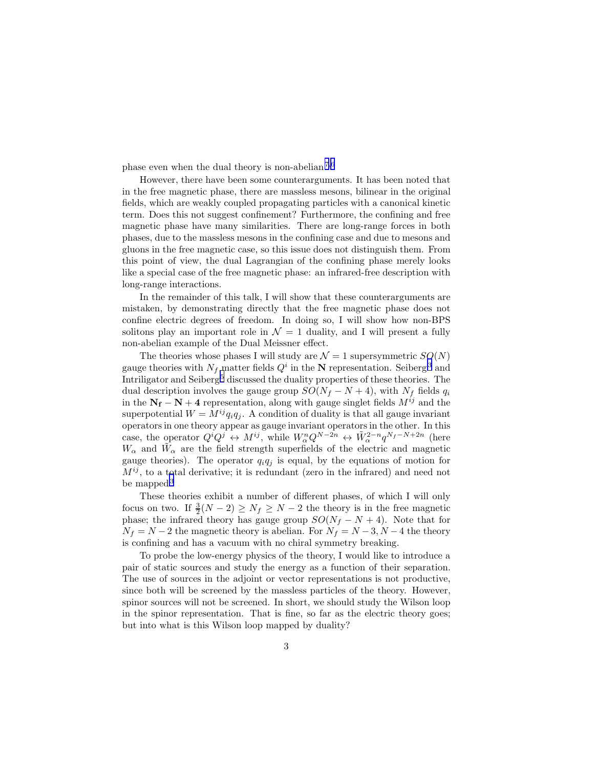phase even when the dual theory is non-abelian.[7](#page-7-0),[6](#page-7-0)

However, there have been some counterarguments. It has been noted that in the free magnetic phase, there are massless mesons, bilinear in the original fields, which are weakly coupled propagating particles with a canonical kinetic term. Does this not suggest confinement? Furthermore, the confining and free magnetic phase have many similarities. There are long-range forces in both phases, due to the massless mesons in the confining case and due to mesons and gluons in the free magnetic case, so this issue does not distinguish them. From this point of view, the dual Lagrangian of the confining phase merely looks like a special case of the free magnetic phase: an infrared-free description with long-range interactions.

In the remainder of this talk, I will show that these counterarguments are mistaken, by demonstrating directly that the free magnetic phase does not confine electric degrees of freedom. In doing so, I will show how non-BPS solitons play an important role in  $\mathcal{N} = 1$  duality, and I will present a fully non-abelian example of the Dual Meissner effect.

The theories whose phases I will study are  $\mathcal{N} = 1$  supersymmetric  $SO(N)$ gauge theories with  $N_f$  matter fields  $Q^i$  in the N representation. Seiberg<sup>[3](#page-7-0)</sup> and Intriligator and  $Seiberg<sup>5</sup>$  $Seiberg<sup>5</sup>$  $Seiberg<sup>5</sup>$  discussed the duality properties of these theories. The dual description involves the gauge group  $SO(N_f - N + 4)$ , with  $N_f$  fields  $q_i$ in the  $N_f - N + 4$  representation, along with gauge singlet fields  $M^{ij}$  and the superpotential  $W = M^{ij} q_i q_j$ . A condition of duality is that all gauge invariant operators in one theory appear as gauge invariant operators in the other. In this case, the operator  $Q^i Q^j \leftrightarrow M^{ij}$ , while  $W_{\alpha}^n Q^{N-2n} \leftrightarrow \tilde{W}_{\alpha}^{2-n} q^{N_f-N+2n}$  (here  $W_{\alpha}$  and  $\tilde{W}_{\alpha}$  are the field strength superfields of the electric and magnetic gauge theories). The operator  $q_iq_j$  is equal, by the equations of motion for  $M^{ij}$ , to a total derivative; it is redundant (zero in the infrared) and need not be mapped.<sup>[3](#page-7-0)</sup>

These theories exhibit a number of different phases, of which I will only focus on two. If  $\frac{3}{2}(N-2) \geq N_f \geq N-2$  the theory is in the free magnetic phase; the infrared theory has gauge group  $SO(N_f - N + 4)$ . Note that for  $N_f = N - 2$  the magnetic theory is abelian. For  $N_f = N - 3, N - 4$  the theory is confining and has a vacuum with no chiral symmetry breaking.

To probe the low-energy physics of the theory, I would like to introduce a pair of static sources and study the energy as a function of their separation. The use of sources in the adjoint or vector representations is not productive, since both will be screened by the massless particles of the theory. However, spinor sources will not be screened. In short, we should study the Wilson loop in the spinor representation. That is fine, so far as the electric theory goes; but into what is this Wilson loop mapped by duality?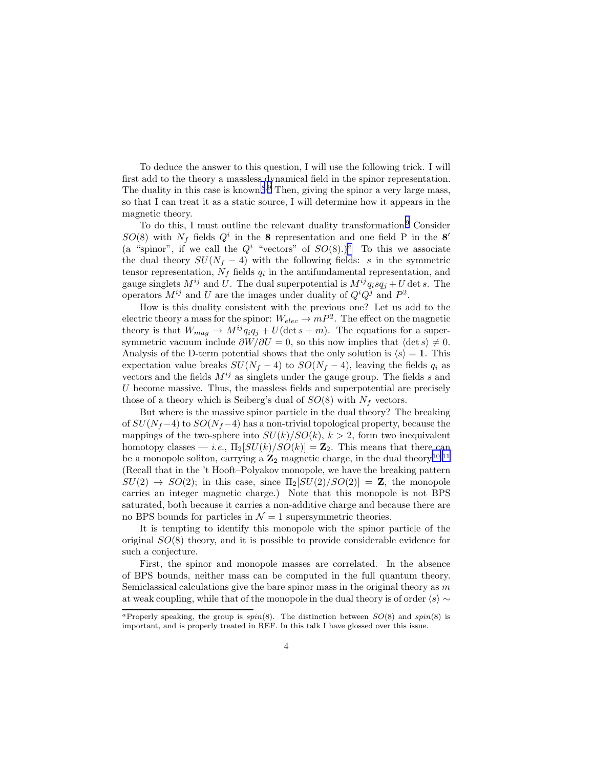To deduce the answer to this question, I will use the following trick. I will first add to the theory a massless dynamical field in the spinor representation. The duality in this case is known.<sup>[8](#page-7-0),[9](#page-7-0)</sup> Then, giving the spinor a very large mass, so that I can treat it as a static source, I will determine how it appears in the magnetic theory.

To do this, I must outline the relevant duality transformation.[9](#page-7-0) Consider  $SO(8)$  with  $N_f$  fields  $Q^i$  in the 8 representation and one field P in the 8' (a "spinor", if we call the  $Q^i$  "vectors" of  $SO(8)$ .)<sup>a</sup> To this we associate the dual theory  $SU(N_f - 4)$  with the following fields: s in the symmetric tensor representation,  $N_f$  fields  $q_i$  in the antifundamental representation, and gauge singlets  $M^{ij}$  and U. The dual superpotential is  $M^{ij}q_isq_j + U$  det s. The operators  $M^{ij}$  and U are the images under duality of  $Q^i Q^j$  and  $P^2$ .

How is this duality consistent with the previous one? Let us add to the electric theory a mass for the spinor:  $W_{elec} \to mP^2$ . The effect on the magnetic theory is that  $W_{mag} \rightarrow M^{ij}q_iq_j + U(\det s + m)$ . The equations for a supersymmetric vacuum include  $\partial W/\partial U = 0$ , so this now implies that  $\langle \det s \rangle \neq 0$ . Analysis of the D-term potential shows that the only solution is  $\langle s \rangle = 1$ . This expectation value breaks  $SU(N_f-4)$  to  $SO(N_f-4)$ , leaving the fields  $q_i$  as vectors and the fields  $M^{ij}$  as singlets under the gauge group. The fields s and U become massive. Thus, the massless fields and superpotential are precisely those of a theory which is Seiberg's dual of  $SO(8)$  with  $N_f$  vectors.

But where is the massive spinor particle in the dual theory? The breaking of  $SU(N_f-4)$  to  $SO(N_f-4)$  has a non-trivial topological property, because the mappings of the two-sphere into  $SU(k)/SO(k)$ ,  $k > 2$ , form two inequivalent homotopy classes — *i.e.*,  $\Pi_2[SU(k)/SO(k)] = \mathbb{Z}_2$ . This means that there can be a monopole soliton, carrying a  $\mathbb{Z}_2$  magnetic charge, in the dual theory.<sup>[10](#page-7-0),[11](#page-7-0)</sup> (Recall that in the 't Hooft–Polyakov monopole, we have the breaking pattern  $SU(2) \rightarrow SO(2)$ ; in this case, since  $\Pi_2[SU(2)/SO(2)] = \mathbb{Z}$ , the monopole carries an integer magnetic charge.) Note that this monopole is not BPS saturated, both because it carries a non-additive charge and because there are no BPS bounds for particles in  $\mathcal{N} = 1$  supersymmetric theories.

It is tempting to identify this monopole with the spinor particle of the original  $SO(8)$  theory, and it is possible to provide considerable evidence for such a conjecture.

First, the spinor and monopole masses are correlated. In the absence of BPS bounds, neither mass can be computed in the full quantum theory. Semiclassical calculations give the bare spinor mass in the original theory as  $m$ at weak coupling, while that of the monopole in the dual theory is of order  $\langle s \rangle \sim$ 

<sup>&</sup>lt;sup>a</sup>Properly speaking, the group is  $spin(8)$ . The distinction between  $SO(8)$  and  $spin(8)$  is important, and is properly treated in REF. In this talk I have glossed over this issue.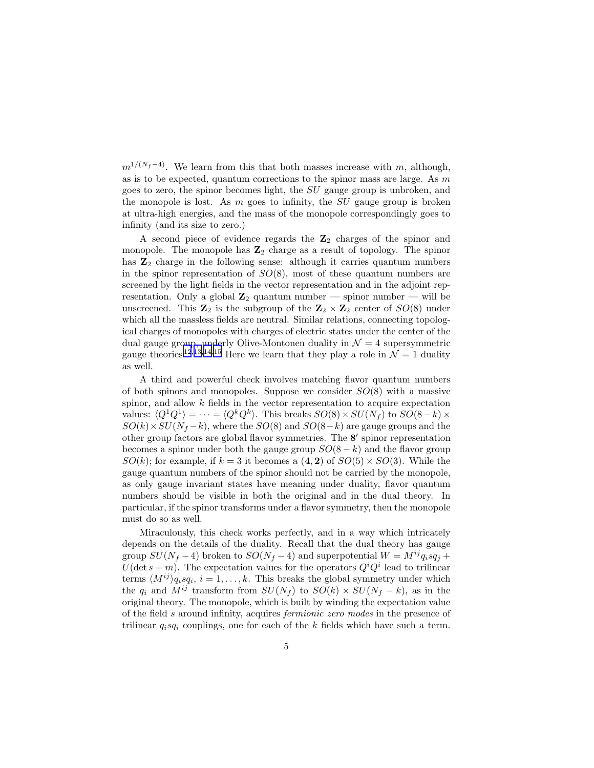$m^{1/(N_f-4)}$ . We learn from this that both masses increase with m, although, as is to be expected, quantum corrections to the spinor mass are large. As  $m$ goes to zero, the spinor becomes light, the SU gauge group is unbroken, and the monopole is lost. As  $m$  goes to infinity, the  $SU$  gauge group is broken at ultra-high energies, and the mass of the monopole correspondingly goes to infinity (and its size to zero.)

A second piece of evidence regards the  $\mathbb{Z}_2$  charges of the spinor and monopole. The monopole has  $\mathbb{Z}_2$  charge as a result of topology. The spinor has  $\mathbb{Z}_2$  charge in the following sense: although it carries quantum numbers in the spinor representation of  $SO(8)$ , most of these quantum numbers are screened by the light fields in the vector representation and in the adjoint representation. Only a global  $\mathbb{Z}_2$  quantum number — spinor number — will be unscreened. This  $\mathbb{Z}_2$  is the subgroup of the  $\mathbb{Z}_2 \times \mathbb{Z}_2$  center of  $SO(8)$  under which all the massless fields are neutral. Similar relations, connecting topological charges of monopoles with charges of electric states under the center of the dual gauge group, underly Olive-Montonen duality in  $\mathcal{N}=4$  supersymmetric gauge theories.<sup>[12](#page-7-0),[13](#page-7-0),[14](#page-7-0),[15](#page-7-0)</sup> Here we learn that they play a role in  $\mathcal{N}=1$  duality as well.

A third and powerful check involves matching flavor quantum numbers of both spinors and monopoles. Suppose we consider  $SO(8)$  with a massive spinor, and allow k fields in the vector representation to acquire expectation values:  $\langle Q^1 Q^1 \rangle = \cdots = \langle Q^k Q^k \rangle$ . This breaks  $SO(8) \times SU(N_f)$  to  $SO(8-k) \times$  $SO(k)\times SU(N_f-k)$ , where the  $SO(8)$  and  $SO(8-k)$  are gauge groups and the other group factors are global flavor symmetries. The 8 ′ spinor representation becomes a spinor under both the gauge group  $SO(8-k)$  and the flavor group  $SO(k)$ ; for example, if  $k = 3$  it becomes a  $(4, 2)$  of  $SO(5) \times SO(3)$ . While the gauge quantum numbers of the spinor should not be carried by the monopole, as only gauge invariant states have meaning under duality, flavor quantum numbers should be visible in both the original and in the dual theory. In particular, if the spinor transforms under a flavor symmetry, then the monopole must do so as well.

Miraculously, this check works perfectly, and in a way which intricately depends on the details of the duality. Recall that the dual theory has gauge group  $SU(N_f-4)$  broken to  $SO(N_f-4)$  and superpotential  $W = M^{ij}q_isq_j +$  $U(\det s + m)$ . The expectation values for the operators  $Q^{i}Q^{i}$  lead to trilinear terms  $\langle M^{ij} \rangle q_i s q_i, i = 1, ..., k$ . This breaks the global symmetry under which the  $q_i$  and  $M^{ij}$  transform from  $SU(N_f)$  to  $SO(k) \times SU(N_f - k)$ , as in the original theory. The monopole, which is built by winding the expectation value of the field s around infinity, acquires fermionic zero modes in the presence of trilinear  $q_i s q_i$  couplings, one for each of the k fields which have such a term.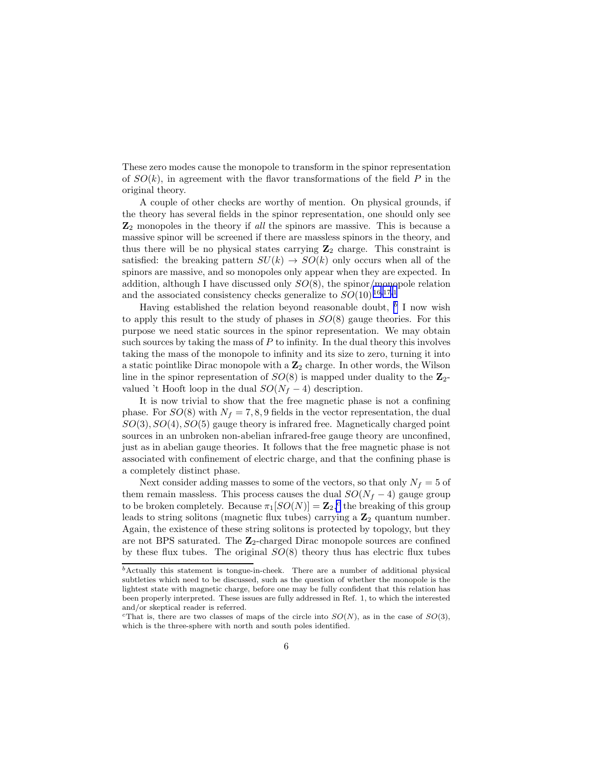These zero modes cause the monopole to transform in the spinor representation of  $SO(k)$ , in agreement with the flavor transformations of the field P in the original theory.

A couple of other checks are worthy of mention. On physical grounds, if the theory has several fields in the spinor representation, one should only see  $\mathbb{Z}_2$  monopoles in the theory if all the spinors are massive. This is because a massive spinor will be screened if there are massless spinors in the theory, and thus there will be no physical states carrying  $\mathbb{Z}_2$  charge. This constraint is satisfied: the breaking pattern  $SU(k) \rightarrow SO(k)$  only occurs when all of the spinors are massive, and so monopoles only appear when they are expected. In addition, although I have discussed only  $SO(8)$ , the spinor/monopole relation and the associated consistency checks generalize to  $SO(10).^{16,17,1}$  $SO(10).^{16,17,1}$  $SO(10).^{16,17,1}$  $SO(10).^{16,17,1}$  $SO(10).^{16,17,1}$  $SO(10).^{16,17,1}$  $SO(10).^{16,17,1}$ 

Having established the relation beyond reasonable doubt,  $<sup>b</sup>$  I now wish</sup> to apply this result to the study of phases in  $SO(8)$  gauge theories. For this purpose we need static sources in the spinor representation. We may obtain such sources by taking the mass of  $P$  to infinity. In the dual theory this involves taking the mass of the monopole to infinity and its size to zero, turning it into a static pointlike Dirac monopole with a  $\mathbb{Z}_2$  charge. In other words, the Wilson line in the spinor representation of  $SO(8)$  is mapped under duality to the  $\mathbb{Z}_2$ valued 't Hooft loop in the dual  $SO(N_f-4)$  description.

It is now trivial to show that the free magnetic phase is not a confining phase. For  $SO(8)$  with  $N_f = 7, 8, 9$  fields in the vector representation, the dual  $SO(3), SO(4), SO(5)$  gauge theory is infrared free. Magnetically charged point sources in an unbroken non-abelian infrared-free gauge theory are unconfined, just as in abelian gauge theories. It follows that the free magnetic phase is not associated with confinement of electric charge, and that the confining phase is a completely distinct phase.

Next consider adding masses to some of the vectors, so that only  $N_f = 5$  of them remain massless. This process causes the dual  $SO(N_f - 4)$  gauge group to be broken completely. Because  $\pi_1[SO(N)] = \mathbb{Z}_2$ ,<sup>c</sup> the breaking of this group leads to string solitons (magnetic flux tubes) carrying a  $\mathbb{Z}_2$  quantum number. Again, the existence of these string solitons is protected by topology, but they are not BPS saturated. The  $\mathbb{Z}_2$ -charged Dirac monopole sources are confined by these flux tubes. The original  $SO(8)$  theory thus has electric flux tubes

 $<sup>b</sup>$ Actually this statement is tongue-in-cheek. There are a number of additional physical</sup> subtleties which need to be discussed, such as the question of whether the monopole is the lightest state with magnetic charge, before one may be fully confident that this relation has been properly interpreted. These issues are fully addressed in Ref. 1, to which the interested and/or skeptical reader is referred.

<sup>&</sup>lt;sup>c</sup>That is, there are two classes of maps of the circle into  $SO(N)$ , as in the case of  $SO(3)$ , which is the three-sphere with north and south poles identified.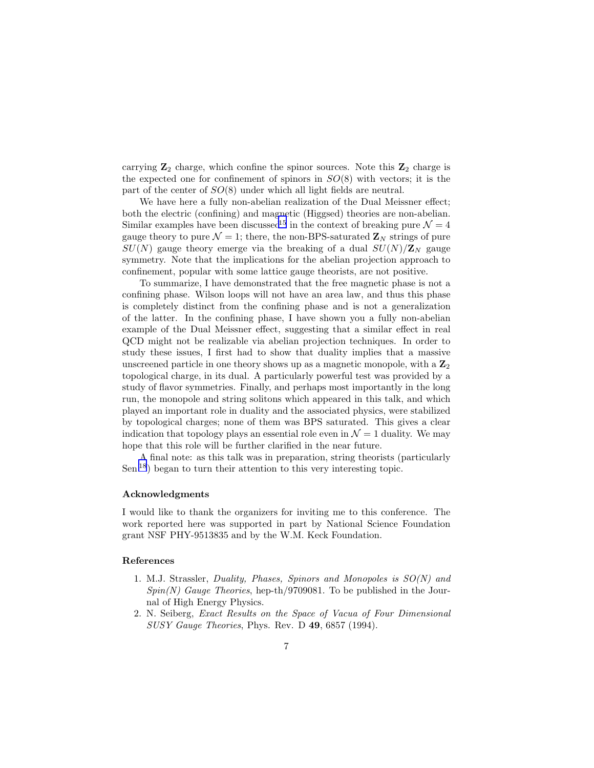<span id="page-6-0"></span>carrying  $\mathbb{Z}_2$  charge, which confine the spinor sources. Note this  $\mathbb{Z}_2$  charge is the expected one for confinement of spinors in  $SO(8)$  with vectors; it is the part of the center of  $SO(8)$  under which all light fields are neutral.

We have here a fully non-abelian realization of the Dual Meissner effect; both the electric (confining) and magnetic (Higgsed) theories are non-abelian. Similar examples have been discussed<sup>[15](#page-7-0)</sup> in the context of breaking pure  $\mathcal{N} = 4$ gauge theory to pure  $\mathcal{N} = 1$ ; there, the non-BPS-saturated  $\mathbf{Z}_N$  strings of pure  $SU(N)$  gauge theory emerge via the breaking of a dual  $SU(N)/\mathbb{Z}_N$  gauge symmetry. Note that the implications for the abelian projection approach to confinement, popular with some lattice gauge theorists, are not positive.

To summarize, I have demonstrated that the free magnetic phase is not a confining phase. Wilson loops will not have an area law, and thus this phase is completely distinct from the confining phase and is not a generalization of the latter. In the confining phase, I have shown you a fully non-abelian example of the Dual Meissner effect, suggesting that a similar effect in real QCD might not be realizable via abelian projection techniques. In order to study these issues, I first had to show that duality implies that a massive unscreened particle in one theory shows up as a magnetic monopole, with a  $\mathbb{Z}_2$ topological charge, in its dual. A particularly powerful test was provided by a study of flavor symmetries. Finally, and perhaps most importantly in the long run, the monopole and string solitons which appeared in this talk, and which played an important role in duality and the associated physics, were stabilized by topological charges; none of them was BPS saturated. This gives a clear indication that topology plays an essential role even in  $\mathcal{N}=1$  duality. We may hope that this role will be further clarified in the near future.

A final note: as this talk was in preparation, string theorists (particularly Sen<sup>[18](#page-7-0)</sup>) began to turn their attention to this very interesting topic.

## Acknowledgments

I would like to thank the organizers for inviting me to this conference. The work reported here was supported in part by National Science Foundation grant NSF PHY-9513835 and by the W.M. Keck Foundation.

## References

- 1. M.J. Strassler, Duality, Phases, Spinors and Monopoles is SO(N) and  $Spin(N)$  Gauge Theories, hep-th/9709081. To be published in the Journal of High Energy Physics.
- 2. N. Seiberg, Exact Results on the Space of Vacua of Four Dimensional SUSY Gauge Theories, Phys. Rev. D 49, 6857 (1994).